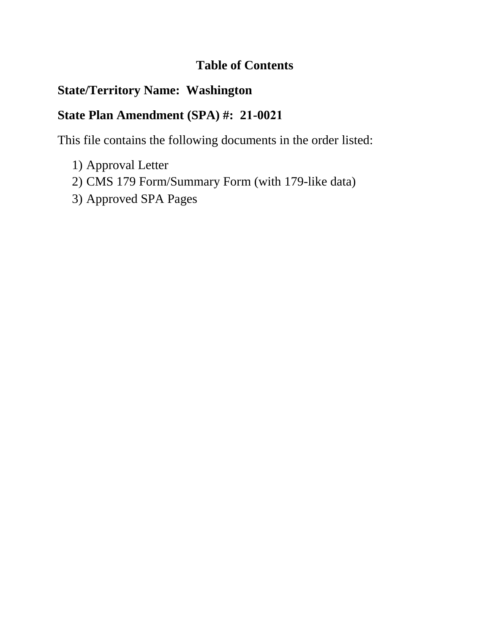# **Table of Contents**

# **State/Territory Name: Washington**

# **State Plan Amendment (SPA) #: 21-0021**

This file contains the following documents in the order listed:

- 1) Approval Letter
- 2) CMS 179 Form/Summary Form (with 179-like data)
- 3) Approved SPA Pages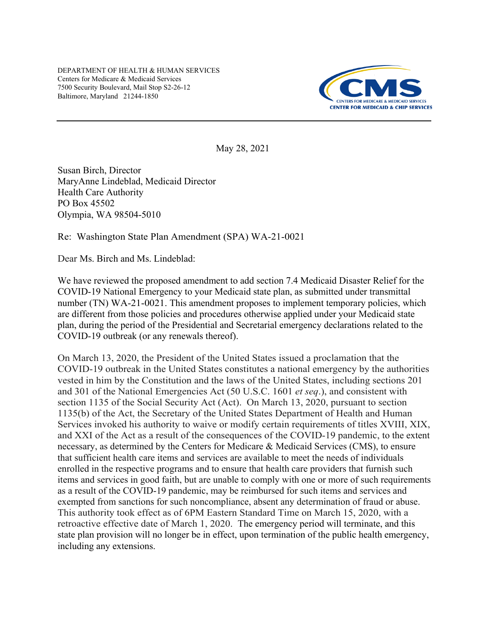DEPARTMENT OF HEALTH & HUMAN SERVICES Centers for Medicare & Medicaid Services 7500 Security Boulevard, Mail Stop S2-26-12 Baltimore, Maryland 21244-1850



May 28, 2021

Susan Birch, Director MaryAnne Lindeblad, Medicaid Director Health Care Authority PO Box 45502 Olympia, WA 98504-5010

Re: Washington State Plan Amendment (SPA) WA-21-0021

Dear Ms. Birch and Ms. Lindeblad:

We have reviewed the proposed amendment to add section 7.4 Medicaid Disaster Relief for the COVID-19 National Emergency to your Medicaid state plan, as submitted under transmittal number (TN) WA-21-0021. This amendment proposes to implement temporary policies, which are different from those policies and procedures otherwise applied under your Medicaid state plan, during the period of the Presidential and Secretarial emergency declarations related to the COVID-19 outbreak (or any renewals thereof).

On March 13, 2020, the President of the United States issued a proclamation that the COVID-19 outbreak in the United States constitutes a national emergency by the authorities vested in him by the Constitution and the laws of the United States, including sections 201 and 301 of the National Emergencies Act (50 U.S.C. 1601 *et seq*.), and consistent with section 1135 of the Social Security Act (Act). On March 13, 2020, pursuant to section 1135(b) of the Act, the Secretary of the United States Department of Health and Human Services invoked his authority to waive or modify certain requirements of titles XVIII, XIX, and XXI of the Act as a result of the consequences of the COVID-19 pandemic, to the extent necessary, as determined by the Centers for Medicare & Medicaid Services (CMS), to ensure that sufficient health care items and services are available to meet the needs of individuals enrolled in the respective programs and to ensure that health care providers that furnish such items and services in good faith, but are unable to comply with one or more of such requirements as a result of the COVID-19 pandemic, may be reimbursed for such items and services and exempted from sanctions for such noncompliance, absent any determination of fraud or abuse. This authority took effect as of 6PM Eastern Standard Time on March 15, 2020, with a retroactive effective date of March 1, 2020. The emergency period will terminate, and this state plan provision will no longer be in effect, upon termination of the public health emergency, including any extensions.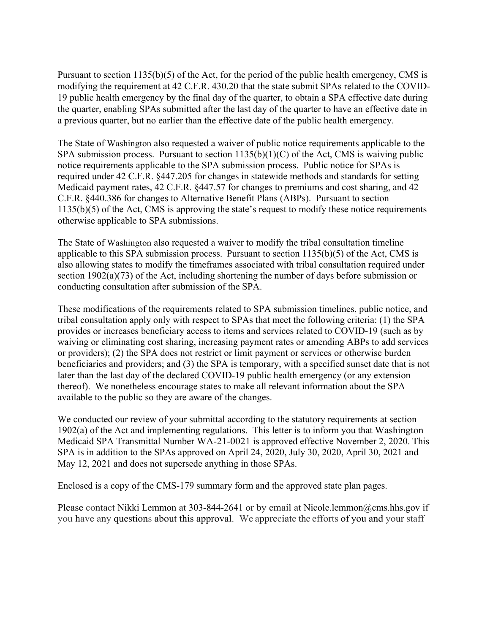Pursuant to section 1135(b)(5) of the Act, for the period of the public health emergency, CMS is modifying the requirement at 42 C.F.R. 430.20 that the state submit SPAs related to the COVID-19 public health emergency by the final day of the quarter, to obtain a SPA effective date during the quarter, enabling SPAs submitted after the last day of the quarter to have an effective date in a previous quarter, but no earlier than the effective date of the public health emergency.

The State of Washington also requested a waiver of public notice requirements applicable to the SPA submission process. Pursuant to section  $1135(b)(1)(C)$  of the Act, CMS is waiving public notice requirements applicable to the SPA submission process. Public notice for SPAs is required under 42 C.F.R. §447.205 for changes in statewide methods and standards for setting Medicaid payment rates, 42 C.F.R. §447.57 for changes to premiums and cost sharing, and 42 C.F.R. §440.386 for changes to Alternative Benefit Plans (ABPs). Pursuant to section 1135(b)(5) of the Act, CMS is approving the state's request to modify these notice requirements otherwise applicable to SPA submissions.

The State of Washington also requested a waiver to modify the tribal consultation timeline applicable to this SPA submission process. Pursuant to section 1135(b)(5) of the Act, CMS is also allowing states to modify the timeframes associated with tribal consultation required under section 1902(a)(73) of the Act, including shortening the number of days before submission or conducting consultation after submission of the SPA.

These modifications of the requirements related to SPA submission timelines, public notice, and tribal consultation apply only with respect to SPAs that meet the following criteria: (1) the SPA provides or increases beneficiary access to items and services related to COVID-19 (such as by waiving or eliminating cost sharing, increasing payment rates or amending ABPs to add services or providers); (2) the SPA does not restrict or limit payment or services or otherwise burden beneficiaries and providers; and (3) the SPA is temporary, with a specified sunset date that is not later than the last day of the declared COVID-19 public health emergency (or any extension thereof). We nonetheless encourage states to make all relevant information about the SPA available to the public so they are aware of the changes.

We conducted our review of your submittal according to the statutory requirements at section 1902(a) of the Act and implementing regulations. This letter is to inform you that Washington Medicaid SPA Transmittal Number WA-21-0021 is approved effective November 2, 2020. This SPA is in addition to the SPAs approved on April 24, 2020, July 30, 2020, April 30, 2021 and May 12, 2021 and does not supersede anything in those SPAs.

Enclosed is a copy of the CMS-179 summary form and the approved state plan pages.

Please contact Nikki Lemmon at 303-844-2641 or by email at Nicole.lemmon@cms.hhs.gov if you have any questions about this approval. We appreciate the efforts of you and your staff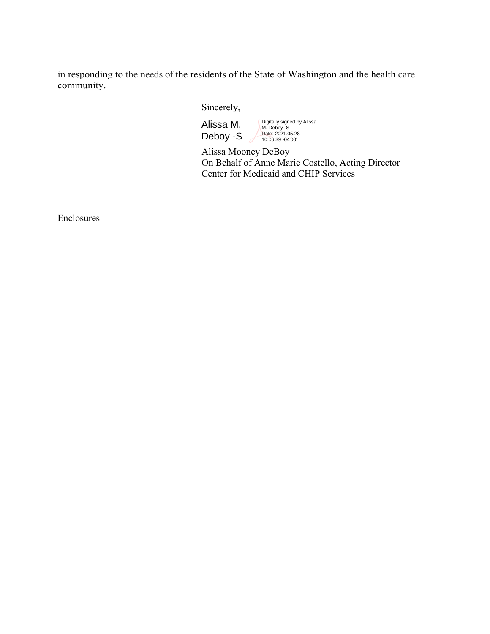in responding to the needs of the residents of the State of Washington and the health care community.

Sincerely,

Alissa M. Deboy -S Digitally signed by Alissa M. Deboy -S Date: 2021.05.28 10:06:39 -04'00'

 Alissa Mooney DeBoy On Behalf of Anne Marie Costello, Acting Director Center for Medicaid and CHIP Services

Enclosures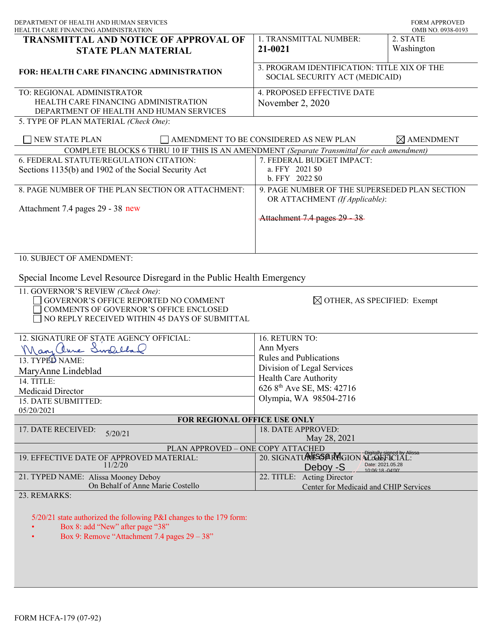| DEPARTMENT OF HEALTH AND HUMAN SERVICES<br>HEALTH CARE FINANCING ADMINISTRATION                                                                                         |                                                                                 | <b>FORM APPROVED</b><br>OMB NO. 0938-0193 |
|-------------------------------------------------------------------------------------------------------------------------------------------------------------------------|---------------------------------------------------------------------------------|-------------------------------------------|
| TRANSMITTAL AND NOTICE OF APPROVAL OF<br><b>STATE PLAN MATERIAL</b>                                                                                                     | 1. TRANSMITTAL NUMBER:<br>21-0021                                               | 2. STATE<br>Washington                    |
| <b>FOR: HEALTH CARE FINANCING ADMINISTRATION</b>                                                                                                                        | 3. PROGRAM IDENTIFICATION: TITLE XIX OF THE<br>SOCIAL SECURITY ACT (MEDICAID)   |                                           |
| TO: REGIONAL ADMINISTRATOR<br>HEALTH CARE FINANCING ADMINISTRATION<br>DEPARTMENT OF HEALTH AND HUMAN SERVICES<br>5. TYPE OF PLAN MATERIAL (Check One):                  | <b>4. PROPOSED EFFECTIVE DATE</b><br>November 2, 2020                           |                                           |
| <b>NEW STATE PLAN</b>                                                                                                                                                   | AMENDMENT TO BE CONSIDERED AS NEW PLAN                                          | $\boxtimes$ AMENDMENT                     |
| COMPLETE BLOCKS 6 THRU 10 IF THIS IS AN AMENDMENT (Separate Transmittal for each amendment)                                                                             |                                                                                 |                                           |
| 6. FEDERAL STATUTE/REGULATION CITATION:                                                                                                                                 | 7. FEDERAL BUDGET IMPACT:                                                       |                                           |
| Sections 1135(b) and 1902 of the Social Security Act                                                                                                                    | a. FFY 2021 \$0<br>b. FFY 2022 \$0                                              |                                           |
| 8. PAGE NUMBER OF THE PLAN SECTION OR ATTACHMENT:                                                                                                                       | 9. PAGE NUMBER OF THE SUPERSEDED PLAN SECTION<br>OR ATTACHMENT (If Applicable): |                                           |
| Attachment 7.4 pages 29 - 38 new                                                                                                                                        | Attachment 7.4 pages 29 - 38                                                    |                                           |
| 10. SUBJECT OF AMENDMENT:                                                                                                                                               |                                                                                 |                                           |
| Special Income Level Resource Disregard in the Public Health Emergency                                                                                                  |                                                                                 |                                           |
| 11. GOVERNOR'S REVIEW (Check One):<br>GOVERNOR'S OFFICE REPORTED NO COMMENT<br>COMMENTS OF GOVERNOR'S OFFICE ENCLOSED<br>NO REPLY RECEIVED WITHIN 45 DAYS OF SUBMITTAL  | $\boxtimes$ OTHER, AS SPECIFIED: Exempt                                         |                                           |
| 12. SIGNATURE OF STATE AGENCY OFFICIAL:                                                                                                                                 | 16. RETURN TO:                                                                  |                                           |
| Mary Chine Swelchal                                                                                                                                                     | Ann Myers                                                                       |                                           |
| 13. TYPED NAME:                                                                                                                                                         | <b>Rules and Publications</b>                                                   |                                           |
|                                                                                                                                                                         | Division of Legal Services                                                      |                                           |
| MaryAnne Lindeblad                                                                                                                                                      | Health Care Authority                                                           |                                           |
| 14. TITLE:                                                                                                                                                              | 626 8 <sup>th</sup> Ave SE, MS: 42716                                           |                                           |
| Medicaid Director                                                                                                                                                       | Olympia, WA 98504-2716                                                          |                                           |
| 15. DATE SUBMITTED:                                                                                                                                                     |                                                                                 |                                           |
| 05/20/2021                                                                                                                                                              |                                                                                 |                                           |
| FOR REGIONAL OFFICE USE ONLY                                                                                                                                            |                                                                                 |                                           |
| 17. DATE RECEIVED:<br>5/20/21                                                                                                                                           | 18. DATE APPROVED:                                                              |                                           |
| PLAN APPROVED - ONE COPY ATTACHED                                                                                                                                       | May 28, 2021                                                                    |                                           |
| 19. EFFECTIVE DATE OF APPROVED MATERIAL:                                                                                                                                | 20. SIGNATURESSER MGION ALLOLE FECIAL:                                          |                                           |
| 11/2/20                                                                                                                                                                 | Date: 2021.05.28<br>Deboy -S<br>10:06:18 -04'00'                                |                                           |
| 21. TYPED NAME: Alissa Mooney Deboy<br>On Behalf of Anne Marie Costello                                                                                                 | 22. TITLE: Acting Director<br>Center for Medicaid and CHIP Services             |                                           |
| 23. REMARKS:<br>5/20/21 state authorized the following P&I changes to the 179 form:<br>Box 8: add "New" after page "38"<br>Box 9: Remove "Attachment 7.4 pages 29 - 38" |                                                                                 |                                           |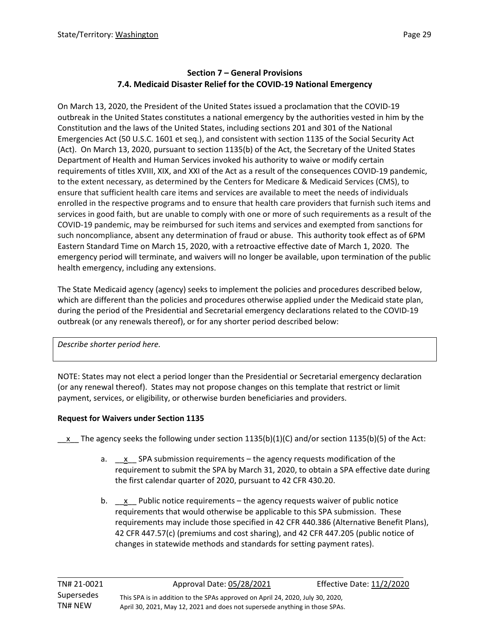### **Section 7 – General Provisions 7.4. Medicaid Disaster Relief for the COVID-19 National Emergency**

On March 13, 2020, the President of the United States issued a proclamation that the COVID-19 outbreak in the United States constitutes a national emergency by the authorities vested in him by the Constitution and the laws of the United States, including sections 201 and 301 of the National Emergencies Act (50 U.S.C. 1601 et seq.), and consistent with section 1135 of the Social Security Act (Act). On March 13, 2020, pursuant to section 1135(b) of the Act, the Secretary of the United States Department of Health and Human Services invoked his authority to waive or modify certain requirements of titles XVIII, XIX, and XXI of the Act as a result of the consequences COVID-19 pandemic, to the extent necessary, as determined by the Centers for Medicare & Medicaid Services (CMS), to ensure that sufficient health care items and services are available to meet the needs of individuals enrolled in the respective programs and to ensure that health care providers that furnish such items and services in good faith, but are unable to comply with one or more of such requirements as a result of the COVID-19 pandemic, may be reimbursed for such items and services and exempted from sanctions for such noncompliance, absent any determination of fraud or abuse. This authority took effect as of 6PM Eastern Standard Time on March 15, 2020, with a retroactive effective date of March 1, 2020. The emergency period will terminate, and waivers will no longer be available, upon termination of the public health emergency, including any extensions.

The State Medicaid agency (agency) seeks to implement the policies and procedures described below, which are different than the policies and procedures otherwise applied under the Medicaid state plan, during the period of the Presidential and Secretarial emergency declarations related to the COVID-19 outbreak (or any renewals thereof), or for any shorter period described below:

*Describe shorter period here.*

L

NOTE: States may not elect a period longer than the Presidential or Secretarial emergency declaration (or any renewal thereof). States may not propose changes on this template that restrict or limit payment, services, or eligibility, or otherwise burden beneficiaries and providers.

## **Request for Waivers under Section 1135**

x The agency seeks the following under section 1135(b)(1)(C) and/or section 1135(b)(5) of the Act:

- a.  $\quad x \quad$  SPA submission requirements the agency requests modification of the requirement to submit the SPA by March 31, 2020, to obtain a SPA effective date during the first calendar quarter of 2020, pursuant to 42 CFR 430.20.
- b.  $x$  Public notice requirements the agency requests waiver of public notice requirements that would otherwise be applicable to this SPA submission. These requirements may include those specified in 42 CFR 440.386 (Alternative Benefit Plans), 42 CFR 447.57(c) (premiums and cost sharing), and 42 CFR 447.205 (public notice of changes in statewide methods and standards for setting payment rates).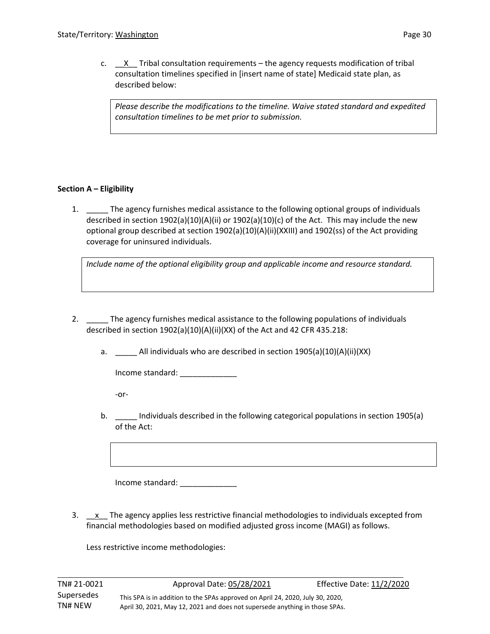c.  $X$  Tribal consultation requirements – the agency requests modification of tribal consultation timelines specified in [insert name of state] Medicaid state plan, as described below:

*Please describe the modifications to the timeline. Waive stated standard and expedited consultation timelines to be met prior to submission.*

### **Section A – Eligibility**

1. \_\_\_\_\_ The agency furnishes medical assistance to the following optional groups of individuals described in section 1902(a)(10)(A)(ii) or 1902(a)(10)(c) of the Act. This may include the new optional group described at section 1902(a)(10)(A)(ii)(XXIII) and 1902(ss) of the Act providing coverage for uninsured individuals.

*Include name of the optional eligibility group and applicable income and resource standard.* 

2. \_\_\_\_\_ The agency furnishes medical assistance to the following populations of individuals described in section 1902(a)(10)(A)(ii)(XX) of the Act and 42 CFR 435.218:

a. \_\_\_\_\_ All individuals who are described in section 1905(a)(10)(A)(ii)(XX)

Income standard:

-or-

L

b. \_\_\_\_\_ Individuals described in the following categorical populations in section 1905(a) of the Act:

Income standard: \_\_\_\_\_\_\_\_\_\_\_\_\_

3.  $\quad$  x The agency applies less restrictive financial methodologies to individuals excepted from financial methodologies based on modified adjusted gross income (MAGI) as follows.

Less restrictive income methodologies: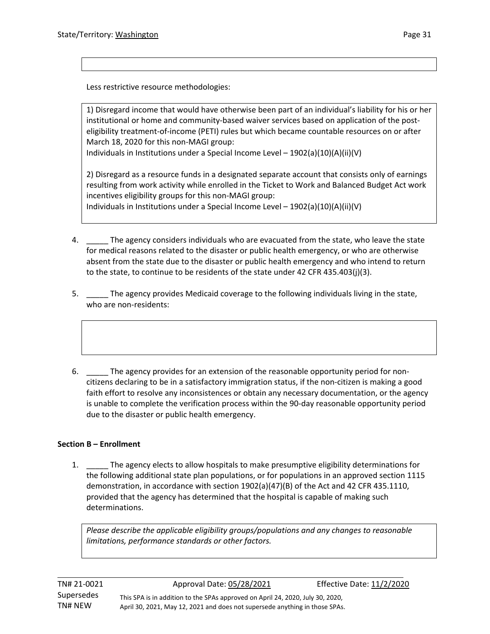Less restrictive resource methodologies:

1) Disregard income that would have otherwise been part of an individual's liability for his or her institutional or home and community-based waiver services based on application of the posteligibility treatment-of-income (PETI) rules but which became countable resources on or after March 18, 2020 for this non-MAGI group:

Individuals in Institutions under a Special Income Level – 1902(a)(10)(A)(ii)(V)

2) Disregard as a resource funds in a designated separate account that consists only of earnings resulting from work activity while enrolled in the Ticket to Work and Balanced Budget Act work incentives eligibility groups for this non-MAGI group:

Individuals in Institutions under a Special Income Level – 1902(a)(10)(A)(ii)(V)

- 4. \_\_\_\_\_ The agency considers individuals who are evacuated from the state, who leave the state for medical reasons related to the disaster or public health emergency, or who are otherwise absent from the state due to the disaster or public health emergency and who intend to return to the state, to continue to be residents of the state under 42 CFR 435.403(j)(3).
- 5. \_\_\_\_\_ The agency provides Medicaid coverage to the following individuals living in the state, who are non-residents:
- 6. \_\_\_\_\_ The agency provides for an extension of the reasonable opportunity period for noncitizens declaring to be in a satisfactory immigration status, if the non-citizen is making a good faith effort to resolve any inconsistences or obtain any necessary documentation, or the agency is unable to complete the verification process within the 90-day reasonable opportunity period due to the disaster or public health emergency.

#### **Section B – Enrollment**

L

1. \_\_\_\_\_ The agency elects to allow hospitals to make presumptive eligibility determinations for the following additional state plan populations, or for populations in an approved section 1115 demonstration, in accordance with section 1902(a)(47)(B) of the Act and 42 CFR 435.1110, provided that the agency has determined that the hospital is capable of making such determinations.

*Please describe the applicable eligibility groups/populations and any changes to reasonable limitations, performance standards or other factors.*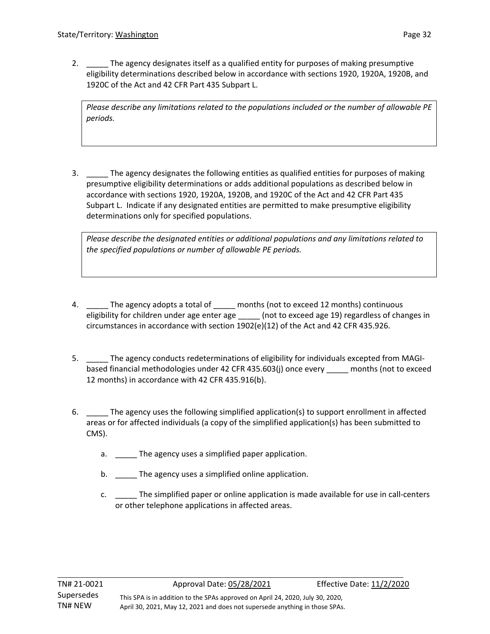2. \_\_\_\_\_ The agency designates itself as a qualified entity for purposes of making presumptive eligibility determinations described below in accordance with sections 1920, 1920A, 1920B, and 1920C of the Act and 42 CFR Part 435 Subpart L.

*Please describe any limitations related to the populations included or the number of allowable PE periods.*

3. \_\_\_\_\_ The agency designates the following entities as qualified entities for purposes of making presumptive eligibility determinations or adds additional populations as described below in accordance with sections 1920, 1920A, 1920B, and 1920C of the Act and 42 CFR Part 435 Subpart L. Indicate if any designated entities are permitted to make presumptive eligibility determinations only for specified populations.

*Please describe the designated entities or additional populations and any limitations related to the specified populations or number of allowable PE periods.*

- 4. \_\_\_\_\_ The agency adopts a total of \_\_\_\_\_ months (not to exceed 12 months) continuous eligibility for children under age enter age \_\_\_\_\_\_ (not to exceed age 19) regardless of changes in circumstances in accordance with section 1902(e)(12) of the Act and 42 CFR 435.926.
- 5. \_\_\_\_\_ The agency conducts redeterminations of eligibility for individuals excepted from MAGIbased financial methodologies under 42 CFR 435.603(j) once every \_\_\_\_\_ months (not to exceed 12 months) in accordance with 42 CFR 435.916(b).
- 6. \_\_\_\_\_ The agency uses the following simplified application(s) to support enrollment in affected areas or for affected individuals (a copy of the simplified application(s) has been submitted to CMS).
	- a. The agency uses a simplified paper application.
	- b. \_\_\_\_\_\_ The agency uses a simplified online application.
	- c. \_\_\_\_\_ The simplified paper or online application is made available for use in call-centers or other telephone applications in affected areas.

L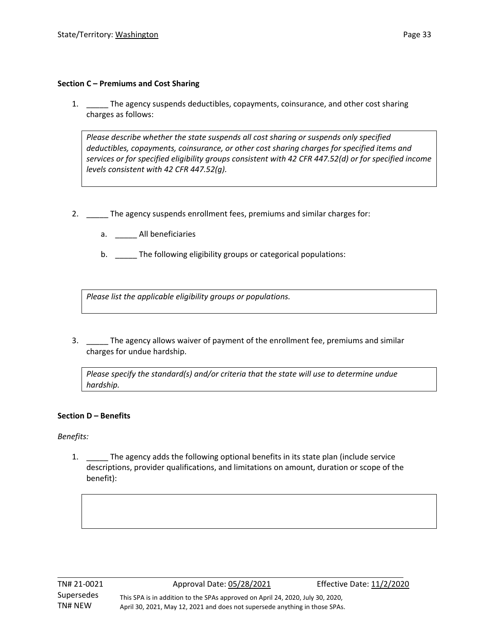### **Section C – Premiums and Cost Sharing**

1. \_\_\_\_\_ The agency suspends deductibles, copayments, coinsurance, and other cost sharing charges as follows:

*Please describe whether the state suspends all cost sharing or suspends only specified deductibles, copayments, coinsurance, or other cost sharing charges for specified items and services or for specified eligibility groups consistent with 42 CFR 447.52(d) or for specified income levels consistent with 42 CFR 447.52(g).* 

- 2. \_\_\_\_\_ The agency suspends enrollment fees, premiums and similar charges for:
	- a. \_\_\_\_\_ All beneficiaries
	- b. \_\_\_\_\_ The following eligibility groups or categorical populations:

*Please list the applicable eligibility groups or populations.* 

3. \_\_\_\_\_ The agency allows waiver of payment of the enrollment fee, premiums and similar charges for undue hardship.

*Please specify the standard(s) and/or criteria that the state will use to determine undue hardship.* 

## **Section D – Benefits**

*Benefits:*

L

1. The agency adds the following optional benefits in its state plan (include service descriptions, provider qualifications, and limitations on amount, duration or scope of the benefit):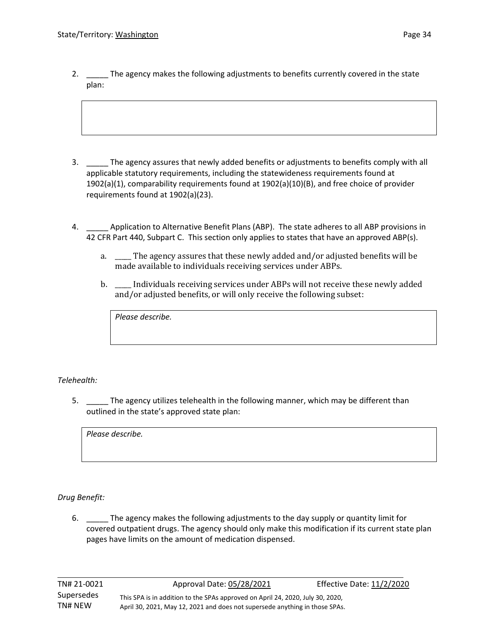2. \_\_\_\_\_ The agency makes the following adjustments to benefits currently covered in the state plan:

- 3. \_\_\_\_\_ The agency assures that newly added benefits or adjustments to benefits comply with all applicable statutory requirements, including the statewideness requirements found at 1902(a)(1), comparability requirements found at 1902(a)(10)(B), and free choice of provider requirements found at 1902(a)(23).
- 4. \_\_\_\_\_ Application to Alternative Benefit Plans (ABP). The state adheres to all ABP provisions in 42 CFR Part 440, Subpart C. This section only applies to states that have an approved ABP(s).
	- a. \_\_\_\_\_ The agency assures that these newly added and/or adjusted benefits will be made available to individuals receiving services under ABPs.
	- b. \_\_\_\_\_ Individuals receiving services under ABPs will not receive these newly added and/or adjusted benefits, or will only receive the following subset:

*Please describe.* 

*Telehealth:* 

5. \_\_\_\_\_ The agency utilizes telehealth in the following manner, which may be different than outlined in the state's approved state plan:

*Please describe.* 

*Drug Benefit:* 

L

6. \_\_\_\_\_ The agency makes the following adjustments to the day supply or quantity limit for covered outpatient drugs. The agency should only make this modification if its current state plan pages have limits on the amount of medication dispensed.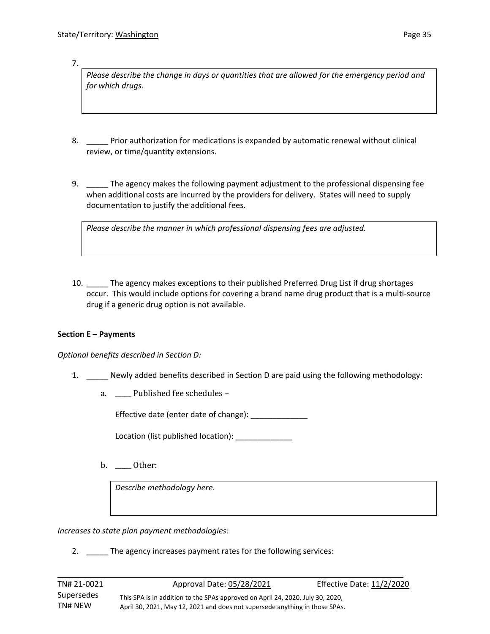7.

*Please describe the change in days or quantities that are allowed for the emergency period and for which drugs.* 

- 8. Prior authorization for medications is expanded by automatic renewal without clinical review, or time/quantity extensions.
- 9. \_\_\_\_\_ The agency makes the following payment adjustment to the professional dispensing fee when additional costs are incurred by the providers for delivery. States will need to supply documentation to justify the additional fees.

*Please describe the manner in which professional dispensing fees are adjusted.* 

10. \_\_\_\_\_ The agency makes exceptions to their published Preferred Drug List if drug shortages occur. This would include options for covering a brand name drug product that is a multi-source drug if a generic drug option is not available.

#### **Section E – Payments**

L

*Optional benefits described in Section D:* 

- 1. \_\_\_\_\_ Newly added benefits described in Section D are paid using the following methodology:
	- a. \_\_\_\_\_ Published fee schedules –

Effective date (enter date of change):

Location (list published location): Location

b. \_\_\_\_\_ Other:

*Describe methodology here.* 

*Increases to state plan payment methodologies:* 

2. The agency increases payment rates for the following services: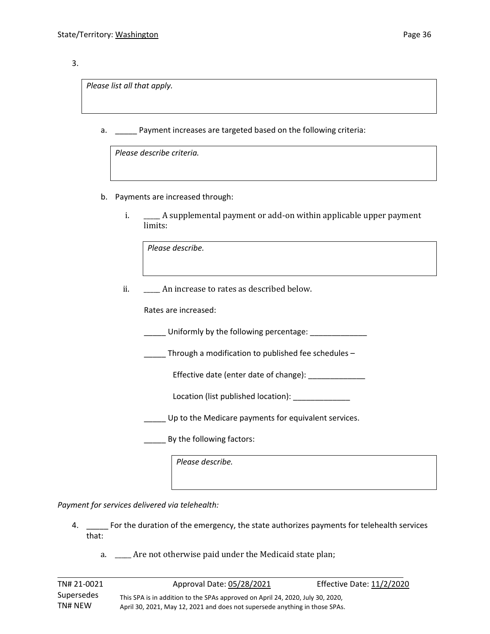#### 3.

*Please list all that apply.* 

a. Payment increases are targeted based on the following criteria:

*Please describe criteria.* 

- b. Payments are increased through:
	- i. \_\_\_\_\_ A supplemental payment or add-on within applicable upper payment limits:

*Please describe.* 

ii. \_\_\_\_\_\_ An increase to rates as described below.

Rates are increased:

Uniformly by the following percentage:

\_\_\_\_\_ Through a modification to published fee schedules –

Effective date (enter date of change): \_\_\_\_\_\_\_\_\_\_\_\_\_

Location (list published location): \_\_\_\_\_\_\_\_\_\_\_\_\_\_

Up to the Medicare payments for equivalent services.

External By the following factors:

*Please describe.* 

*Payment for services delivered via telehealth:*

L

- 4. \_\_\_\_\_ For the duration of the emergency, the state authorizes payments for telehealth services that:
	- a. \_\_\_\_\_ Are not otherwise paid under the Medicaid state plan;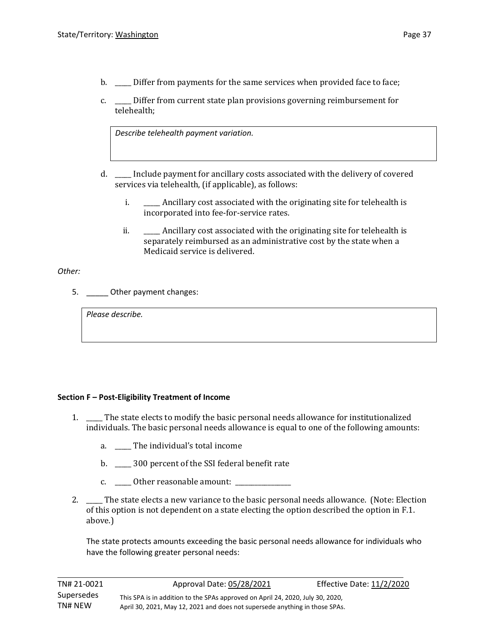- b. **EXECUTE:** Differ from payments for the same services when provided face to face;
- c. \_\_\_\_\_ Differ from current state plan provisions governing reimbursement for telehealth;

*Describe telehealth payment variation.*

- d. \_\_\_\_\_ Include payment for ancillary costs associated with the delivery of covered services via telehealth, (if applicable), as follows:
	- i. \_\_\_\_\_ Ancillary cost associated with the originating site for telehealth is incorporated into fee-for-service rates.
	- ii. \_\_\_\_\_\_\_ Ancillary cost associated with the originating site for telehealth is separately reimbursed as an administrative cost by the state when a Medicaid service is delivered.

#### *Other:*

L

5. Other payment changes:

*Please describe.* 

#### **Section F – Post-Eligibility Treatment of Income**

- 1. \_\_\_\_\_ The state elects to modify the basic personal needs allowance for institutionalized individuals. The basic personal needs allowance is equal to one of the following amounts:
	- a. \_\_\_\_\_ The individual's total income
	- b. \_\_\_\_\_ 300 percent of the SSI federal benefit rate
	- c. \_\_\_\_\_ Other reasonable amount: \_\_\_\_\_\_\_\_\_\_\_\_\_\_\_\_\_
- 2. \_\_\_\_\_ The state elects a new variance to the basic personal needs allowance. (Note: Election of this option is not dependent on a state electing the option described the option in F.1. above.)

The state protects amounts exceeding the basic personal needs allowance for individuals who have the following greater personal needs: